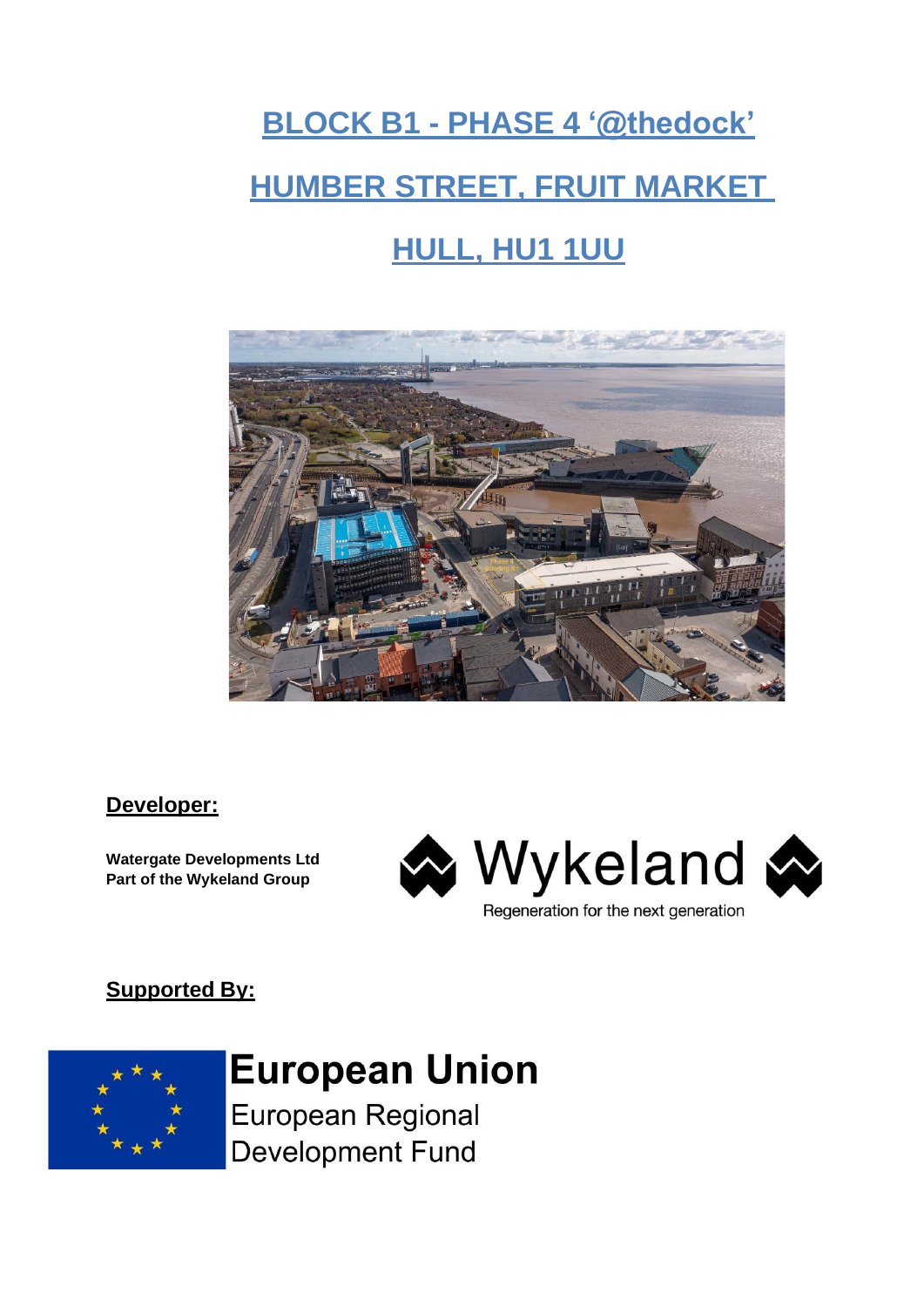# **BLOCK B1 - PHASE 4 '@thedock' HUMBER STREET, FRUIT MARKET HULL, HU1 1UU**



### **Developer:**

**Watergate Developments Ltd Part of the Wykeland Group**



# **Supported By:**



# **European Union**

European Regional **Development Fund**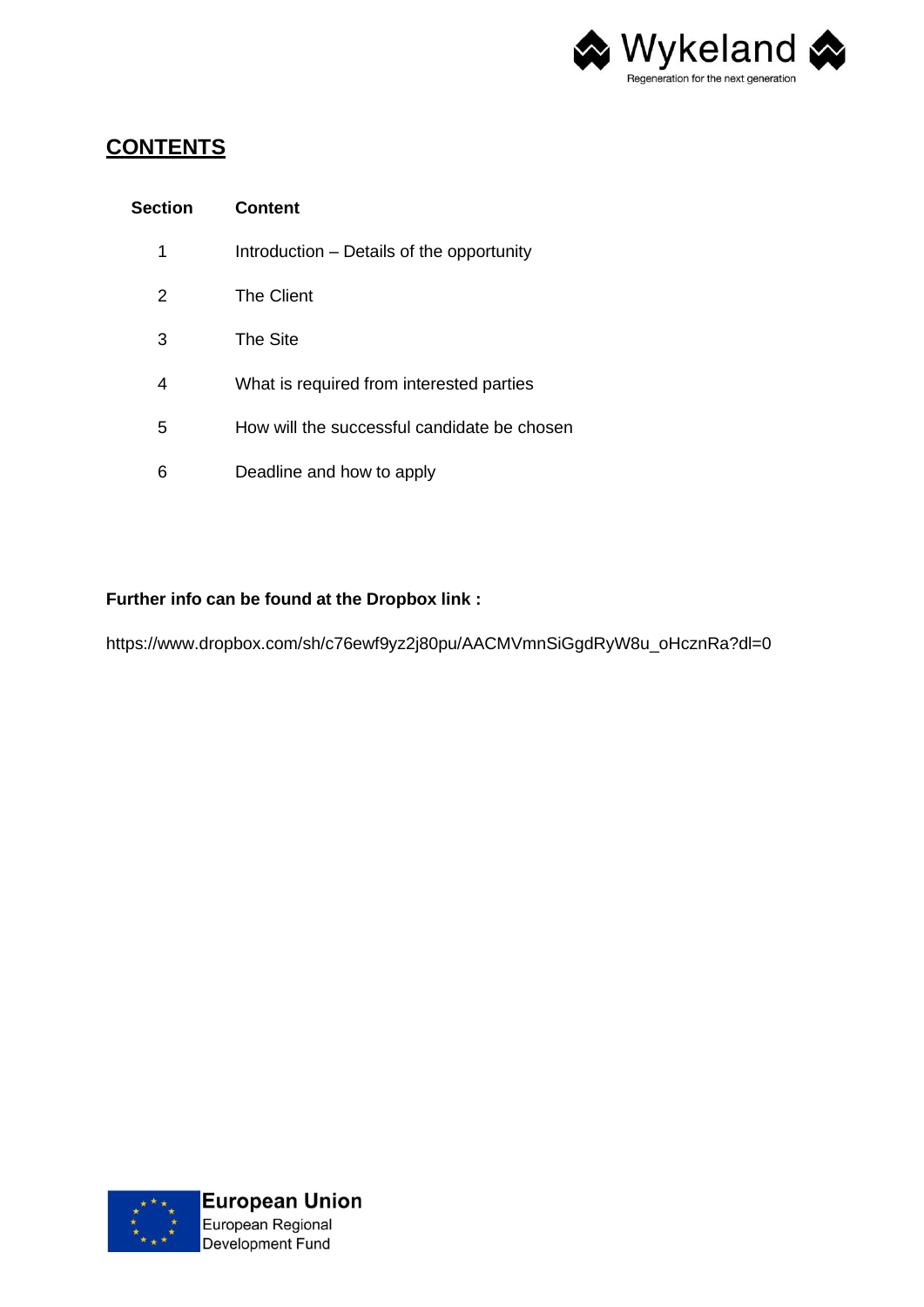

## **CONTENTS**

| <b>Section</b> | <b>Content</b>                              |
|----------------|---------------------------------------------|
| 1              | Introduction – Details of the opportunity   |
| 2              | The Client                                  |
| 3              | The Site                                    |
| 4              | What is required from interested parties    |
| 5              | How will the successful candidate be chosen |
| 6              | Deadline and how to apply                   |

#### **Further info can be found at the Dropbox link :**

https://www.dropbox.com/sh/c76ewf9yz2j80pu/AACMVmnSiGgdRyW8u\_oHcznRa?dl=0

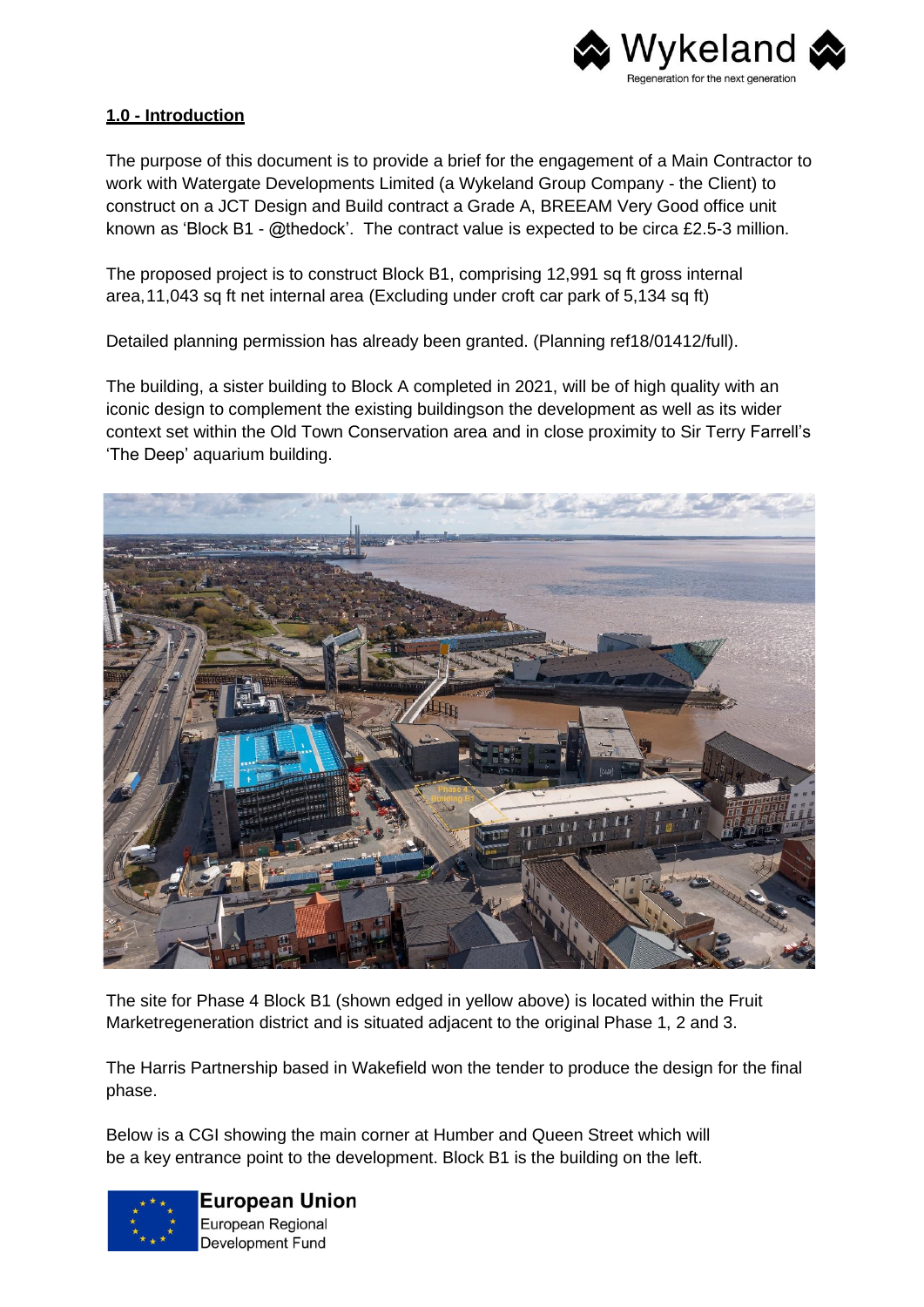

#### **1.0 - Introduction**

The purpose of this document is to provide a brief for the engagement of a Main Contractor to work with Watergate Developments Limited (a Wykeland Group Company - the Client) to construct on a JCT Design and Build contract a Grade A, BREEAM Very Good office unit known as 'Block B1 - @thedock'. The contract value is expected to be circa £2.5-3 million.

The proposed project is to construct Block B1, comprising 12,991 sq ft gross internal area, 11,043 sq ft net internal area (Excluding under croft car park of 5,134 sq ft)

Detailed planning permission has already been granted. (Planning ref18/01412/full).

The building, a sister building to Block A completed in 2021, will be of high quality with an iconic design to complement the existing buildingson the development as well as its wider context set within the Old Town Conservation area and in close proximity to Sir Terry Farrell's 'The Deep' aquarium building.



The site for Phase 4 Block B1 (shown edged in yellow above) is located within the Fruit Marketregeneration district and is situated adjacent to the original Phase 1, 2 and 3.

The Harris Partnership based in Wakefield won the tender to produce the design for the final phase.

Below is a CGI showing the main corner at Humber and Queen Street which will be a key entrance point to the development. Block B1 is the building on the left.



**European Union** European Regional Development Fund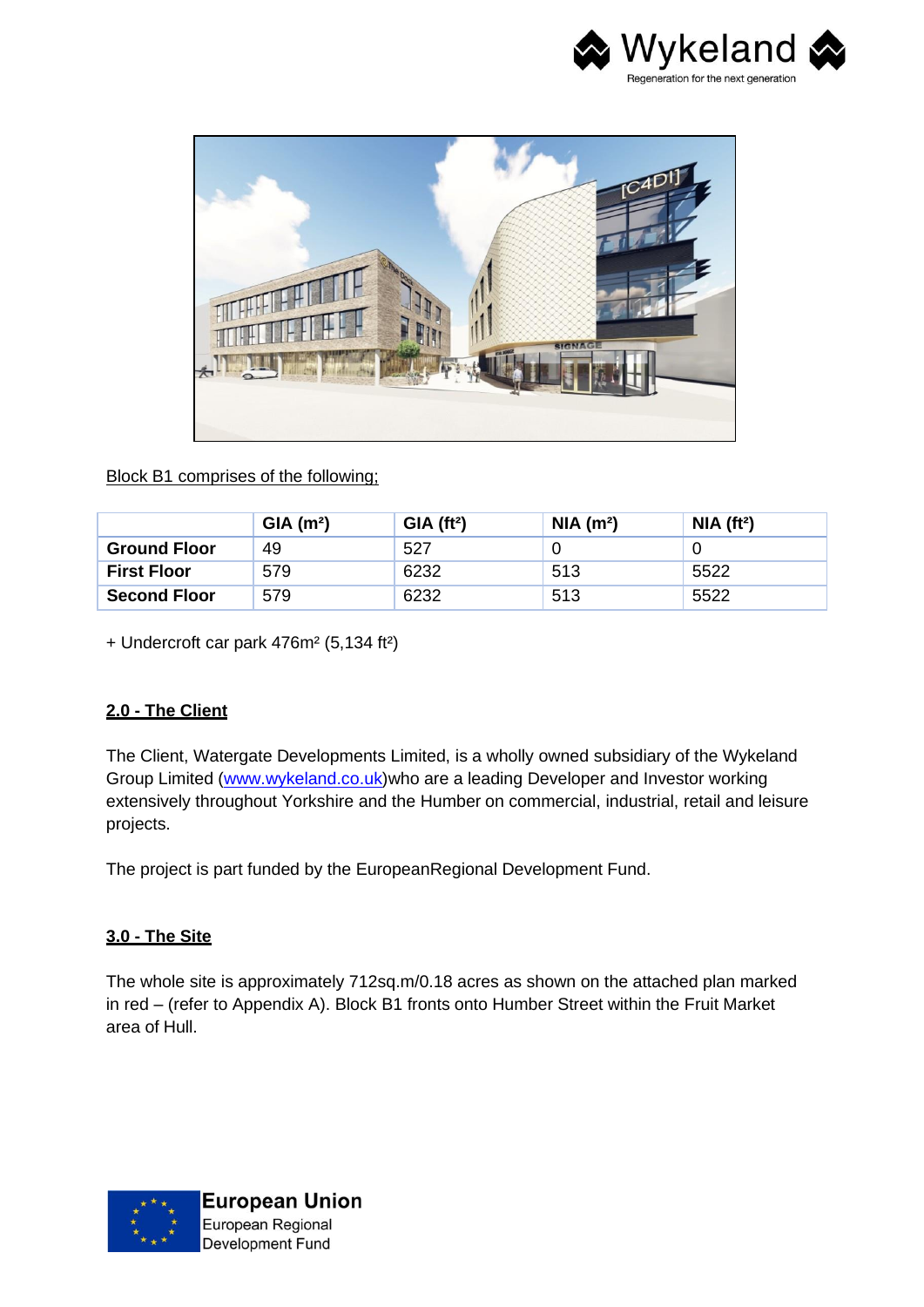



#### Block B1 comprises of the following;

|                     | GIA(m <sup>2</sup> ) | $GIA$ (ft <sup>2</sup> ) | NIA(m <sup>2</sup> ) | NIA(f <sup>t2</sup> ) |
|---------------------|----------------------|--------------------------|----------------------|-----------------------|
| <b>Ground Floor</b> | 49                   | 527                      |                      |                       |
| <b>First Floor</b>  | 579                  | 6232                     | 513                  | 5522                  |
| <b>Second Floor</b> | 579                  | 6232                     | 513                  | 5522                  |

+ Undercroft car park 476m² (5,134 ft²)

#### **2.0 - The Client**

The Client, Watergate Developments Limited, is a wholly owned subsidiary of the Wykeland Group Limited (www.wykeland.co.uk)who are a leading Developer and Investor working extensively throughout Yorkshire and the Humber on commercial, industrial, retail and leisure projects.

The project is part funded by the EuropeanRegional Development Fund.

#### **3.0 - The Site**

The whole site is approximately 712sq.m/0.18 acres as shown on the attached plan marked in red – (refer to Appendix A). Block B1 fronts onto Humber Street within the Fruit Market area of Hull.